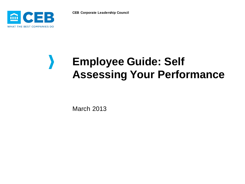**CEB Corporate Leadership Council**



# **Employee Guide: Self Assessing Your Performance**

March 2013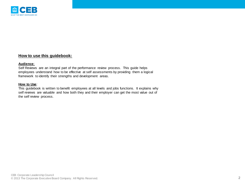

# **How to use this guidebook:**

#### **Audience**:

Self Reviews are an integral part of the performance review process. This guide helps employees understand how to be effective at self assessments by providing them a logical framework to identify their strengths and development areas.

#### **How to Use**:

This guidebook is written to benefit employees at all levels and jobs functions. It explains why self reviews are valuable and how both they and their employer can get the most value out of the self review process.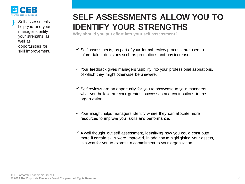

Self assessments help you and your manager identify your strengths as well as opportunities for

# **SELF ASSESSMENTS ALLOW YOU TO IDENTIFY YOUR STRENGTHS**

**Why should you put effort into your self assessment?**

- skill improvement.  $\checkmark$  Self assessments, as part of your formal review process, are used to inform talent decisions such as promotions and pay increases.
	- $\checkmark$  Your feedback gives managers visibility into your professional aspirations, of which they might otherwise be unaware.
	- $\checkmark$  Self reviews are an opportunity for you to showcase to your managers what you believe are your greatest successes and contributions to the organization.
	- $\checkmark$  Your insight helps managers identify where they can allocate more resources to improve your skills and performance.
	- $\checkmark$  A well thought out self assessment, identifying how you could contribute more if certain skills were improved, in addition to highlighting your assets, is a way for you to express a commitment to your organization.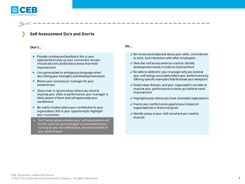

# **Self Assessment Do's and Don'ts**

#### **Don't…**

- Provide unbalanced feedback; this is your opportunity to play up your successes, but you should also be candid about areas that need improvement
- Use generalized or ambiguous language when describing your strengths and development areas
- Blame your company or manager for your weaknesses
- Gloss over or ignore areas where you need to improve your skills or performance; your manager is likely aware of them and will appreciate your candidness
- **\*** Be overly modest about your contribution to your organization; this is your opportunity to highlight your successes
- Don't worry about whether your self assessment will be the same as your manager's assessment of you so long as you can defend your personal opinion of your performance

### **Do…**

- ✓ Be honest and objective about your skills, commitment to work, and interaction with other employees
- ✓ View the self assessment as a tool to identify development needs in order to improve them
- ✓ Be able to defend to your manager why you believe your self ratings accurately reflect your performance by offering specific examples that illustrate your viewpoint
- ✓ Detail steps that you and your organization can take to improve your performance in areas you believe need improvement
- ✓ Highlight areas where you have exceeded expectations
- ✓ Frame your performance against your impact on organizational or divisional goals
- ✓ Identify areas in your skill set where you need to improve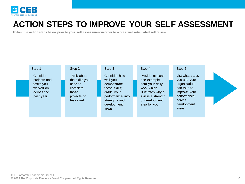

# **ACTION STEPS TO IMPROVE YOUR SELF ASSESSMENT**

**Follow the action steps below prior to your self assessment in order to write a well articulated self review.**

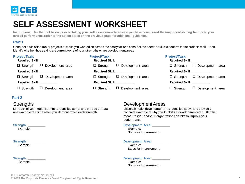

# **SELF ASSESSMENT WORKSHEET**

**Instructions: Use the tool below prior to taking your self assessment to ensure you have considered the major contributing factors to your overall performance. Refer to the action steps on the previous page for additional guidance.** 

## **Part 1**

Consider each of the major projects or tasks you worked on across the past year and consider the needed skills to perform those projects well. Then identify whether those skills are currently one of your strengths or are development areas.

| <b>Project/Task:</b>               | <b>Project/Task:</b>                | <b>Project/Task:</b>                |
|------------------------------------|-------------------------------------|-------------------------------------|
| <b>Required Skill:</b>             | <b>Required Skill: ___________</b>  | <b>Required Skill:</b>              |
| $\Box$ Development area            | $\Box$ Development area             | $\Box$ Development area             |
| $\Box$ Strength                    | $\Box$ Strength                     | $\Box$ Strength                     |
| <b>Required Skill: ___________</b> | <b>Required Skill: ____________</b> | Required Skill: __________          |
| D Development area                 | $\Box$ Development area             | $\Box$ Development area             |
| $\Box$ Strength                    | $\Box$ Strength                     | $\Box$ Strength                     |
| Required Skill: ___________        | Required Skill: ___________         | <b>Required Skill: ____________</b> |
| $\Box$ Development area            | $\Box$ Development area             | $\Box$ Development area             |
| $\Box$ Strength                    | $\Box$ Strength                     | $\Box$ Strength                     |

### **Part 2**

# **Strengths**

List each of your major strengths identified above and provide at least one example of a time when you demonstrated each strength.

#### **Strength: \_\_\_\_\_\_\_\_\_\_**

Example:

# Strength:

Example:

#### Strength: **and the strength:** Example:

# Development Areas

List each major development area identified above and provide a concrete example of why you think it's a development area. Also list measures you and your organization can take to improve your performance.

#### **Development Area: \_\_\_\_\_\_\_\_\_\_**

 Example: Steps for Improvement:

### **Development Area: \_\_\_\_\_\_\_\_\_\_**

 Example: Steps for Improvement:

#### Development Area:

 Example: Steps for Improvement: